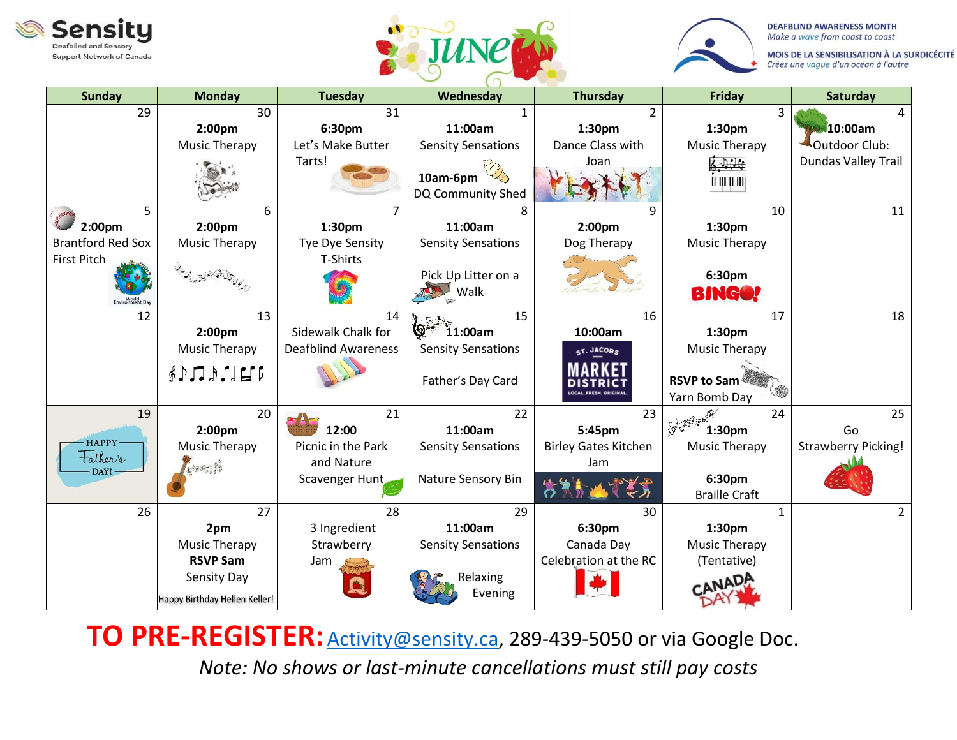





MOIS DE LA SENSIBILISATION À LA SURDICÉCITÉ Créez une vague d'un océan à l'autre

| <b>Sunday</b>            | <b>Monday</b>                                                        | <b>Tuesday</b>             | Wednesday                     | <b>Thursday</b>              | Friday                              | Saturday                   |
|--------------------------|----------------------------------------------------------------------|----------------------------|-------------------------------|------------------------------|-------------------------------------|----------------------------|
| 29                       | 30                                                                   | 31                         |                               | $\overline{2}$               | 3                                   | 4                          |
|                          | 2:00 <sub>pm</sub>                                                   | 6:30pm                     | 11:00am                       | 1:30pm                       | 1:30 <sub>pm</sub>                  | 10:00am                    |
|                          | <b>Music Therapy</b>                                                 | Let's Make Butter          | <b>Sensity Sensations</b>     | Dance Class with             | Music Therapy                       | Outdoor Club:              |
|                          |                                                                      | Tarts!                     | 10am-6pm<br>DQ Community Shed | Joan                         | 65574<br>में प्रामाण                | Dundas Valley Trail        |
| 5                        | 6                                                                    |                            |                               | 9                            | 10                                  | 11                         |
| 2:00pm                   | 2:00 <sub>pm</sub>                                                   | 1:30pm                     | 11:00am                       | 2:00 <sub>pm</sub>           | 1:30 <sub>pm</sub>                  |                            |
| <b>Brantford Red Sox</b> | <b>Music Therapy</b>                                                 | Tye Dye Sensity            | <b>Sensity Sensations</b>     | Dog Therapy                  | <b>Music Therapy</b>                |                            |
| <b>First Pitch</b>       |                                                                      | T-Shirts                   |                               |                              |                                     |                            |
| World<br>Environment Day |                                                                      |                            | Pick Up Litter on a<br>Walk   |                              | 6:30pm<br><b>BINGO!</b>             |                            |
| 12                       | 13                                                                   | 14                         | 15<br>R. Din                  | 16                           | 17                                  | 18                         |
|                          | 2:00 <sub>pm</sub>                                                   | Sidewalk Chalk for         | 11:00am                       | 10:00am                      | 1:30pm                              |                            |
|                          | <b>Music Therapy</b>                                                 | <b>Deafblind Awareness</b> | <b>Sensity Sensations</b>     | ST. JACOBS                   | <b>Music Therapy</b>                |                            |
|                          | $$ \mathcal{L} \cup \mathcal{L} \cup \mathcal{L} \cup \mathcal{L} \$ |                            | Father's Day Card             | <b>OCAL. FRESH. ORIGINAL</b> | <b>RSVP to Sam</b><br>Yarn Bomb Day |                            |
| 19                       | 20                                                                   | 21                         | 22                            | 23                           | 24                                  | 25                         |
|                          | 2:00 <sub>pm</sub>                                                   | 12:00                      | 11:00am                       | 5:45pm                       | 1:30 <sub>pm</sub>                  | Go                         |
| HAPPY-                   | <b>Music Therapy</b>                                                 | Picnic in the Park         | <b>Sensity Sensations</b>     | <b>Birley Gates Kitchen</b>  | <b>Music Therapy</b>                | <b>Strawberry Picking!</b> |
| Father's                 | 無義                                                                   | and Nature                 |                               | Jam                          |                                     |                            |
| $\text{DAY!}$            |                                                                      | Scavenger Hunt             | Nature Sensory Bin            |                              | 6:30pm<br><b>Braille Craft</b>      |                            |
| 26                       | 27                                                                   | 28                         | 29                            | 30                           | $\mathbf{1}$                        | $\overline{2}$             |
|                          | 2pm                                                                  | 3 Ingredient               | 11:00am                       | 6:30pm                       | 1:30pm                              |                            |
|                          | <b>Music Therapy</b>                                                 | Strawberry                 | <b>Sensity Sensations</b>     | Canada Day                   | Music Therapy                       |                            |
|                          | <b>RSVP Sam</b>                                                      | Jam                        |                               | Celebration at the RC        | (Tentative)                         |                            |
|                          | Sensity Day                                                          |                            | Relaxing                      |                              | -ANADA                              |                            |
|                          | Happy Birthday Hellen Keller!                                        |                            | Evening                       |                              |                                     |                            |

TO PRE-REGISTER: **Activity@sensity.ca**, 289-439-5050 or via Google Doc.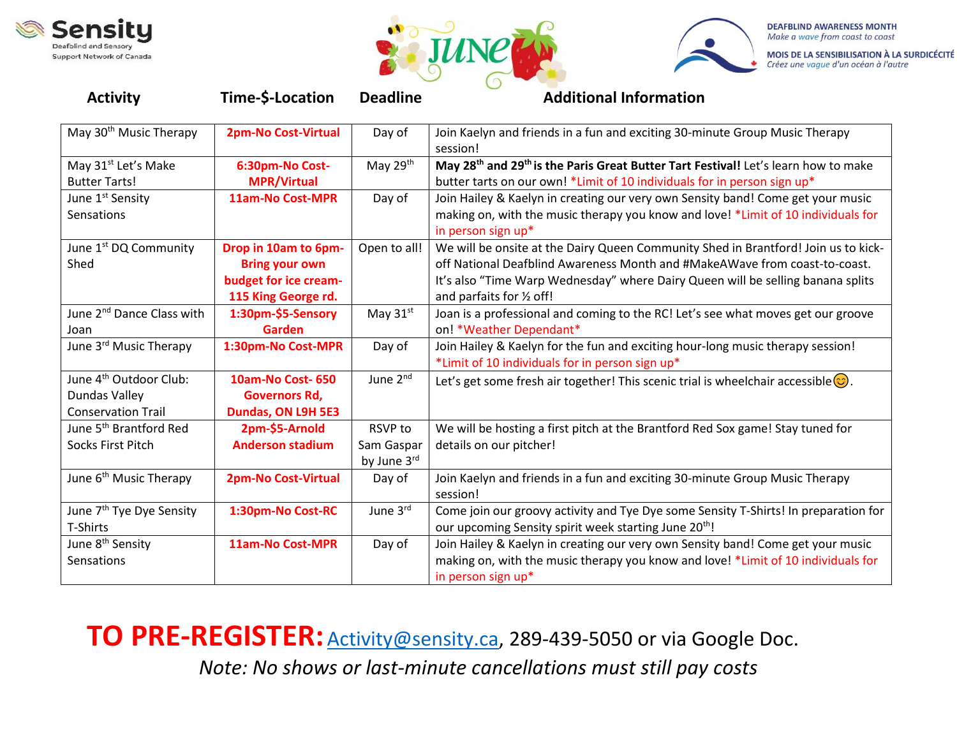





MOIS DE LA SENSIBILISATION À LA SURDICÉCITÉ Créez une vague d'un océan à l'autre

| <b>Activity</b>                                                                  | Time-\$-Location                                                                              | <b>Deadline</b>                      | <b>Additional Information</b>                                                                                                                                                                                                                                                    |
|----------------------------------------------------------------------------------|-----------------------------------------------------------------------------------------------|--------------------------------------|----------------------------------------------------------------------------------------------------------------------------------------------------------------------------------------------------------------------------------------------------------------------------------|
| May 30 <sup>th</sup> Music Therapy                                               | <b>2pm-No Cost-Virtual</b>                                                                    | Day of                               | Join Kaelyn and friends in a fun and exciting 30-minute Group Music Therapy<br>session!                                                                                                                                                                                          |
| May 31 <sup>st</sup> Let's Make<br><b>Butter Tarts!</b>                          | 6:30pm-No Cost-<br><b>MPR/Virtual</b>                                                         | May 29th                             | May 28 <sup>th</sup> and 29 <sup>th</sup> is the Paris Great Butter Tart Festival! Let's learn how to make<br>butter tarts on our own! *Limit of 10 individuals for in person sign up*                                                                                           |
| June 1 <sup>st</sup> Sensity<br>Sensations                                       | 11am-No Cost-MPR                                                                              | Day of                               | Join Hailey & Kaelyn in creating our very own Sensity band! Come get your music<br>making on, with the music therapy you know and love! *Limit of 10 individuals for<br>in person sign up*                                                                                       |
| June 1 <sup>st</sup> DQ Community<br>Shed                                        | Drop in 10am to 6pm-<br><b>Bring your own</b><br>budget for ice cream-<br>115 King George rd. | Open to all!                         | We will be onsite at the Dairy Queen Community Shed in Brantford! Join us to kick-<br>off National Deafblind Awareness Month and #MakeAWave from coast-to-coast.<br>It's also "Time Warp Wednesday" where Dairy Queen will be selling banana splits<br>and parfaits for 1/2 off! |
| June 2 <sup>nd</sup> Dance Class with<br>Joan                                    | 1:30pm-\$5-Sensory<br>Garden                                                                  | May 31st                             | Joan is a professional and coming to the RC! Let's see what moves get our groove<br>on! *Weather Dependant*                                                                                                                                                                      |
| June 3rd Music Therapy                                                           | 1:30pm-No Cost-MPR                                                                            | Day of                               | Join Hailey & Kaelyn for the fun and exciting hour-long music therapy session!<br>*Limit of 10 individuals for in person sign up*                                                                                                                                                |
| June 4 <sup>th</sup> Outdoor Club:<br>Dundas Valley<br><b>Conservation Trail</b> | <b>10am-No Cost-650</b><br><b>Governors Rd,</b><br>Dundas, ON L9H 5E3                         | June 2nd                             | Let's get some fresh air together! This scenic trial is wheelchair accessible $\circled{c}$ .                                                                                                                                                                                    |
| June 5 <sup>th</sup> Brantford Red<br>Socks First Pitch                          | 2pm-\$5-Arnold<br><b>Anderson stadium</b>                                                     | RSVP to<br>Sam Gaspar<br>by June 3rd | We will be hosting a first pitch at the Brantford Red Sox game! Stay tuned for<br>details on our pitcher!                                                                                                                                                                        |
| June 6 <sup>th</sup> Music Therapy                                               | <b>2pm-No Cost-Virtual</b>                                                                    | Day of                               | Join Kaelyn and friends in a fun and exciting 30-minute Group Music Therapy<br>session!                                                                                                                                                                                          |
| June 7 <sup>th</sup> Tye Dye Sensity<br>T-Shirts                                 | 1:30pm-No Cost-RC                                                                             | June 3rd                             | Come join our groovy activity and Tye Dye some Sensity T-Shirts! In preparation for<br>our upcoming Sensity spirit week starting June 20 <sup>th</sup> !                                                                                                                         |
| June 8 <sup>th</sup> Sensity<br>Sensations                                       | 11am-No Cost-MPR                                                                              | Day of                               | Join Hailey & Kaelyn in creating our very own Sensity band! Come get your music<br>making on, with the music therapy you know and love! *Limit of 10 individuals for<br>in person sign up*                                                                                       |

TO PRE-REGISTER: **Activity@sensity.ca**, 289-439-5050 or via Google Doc.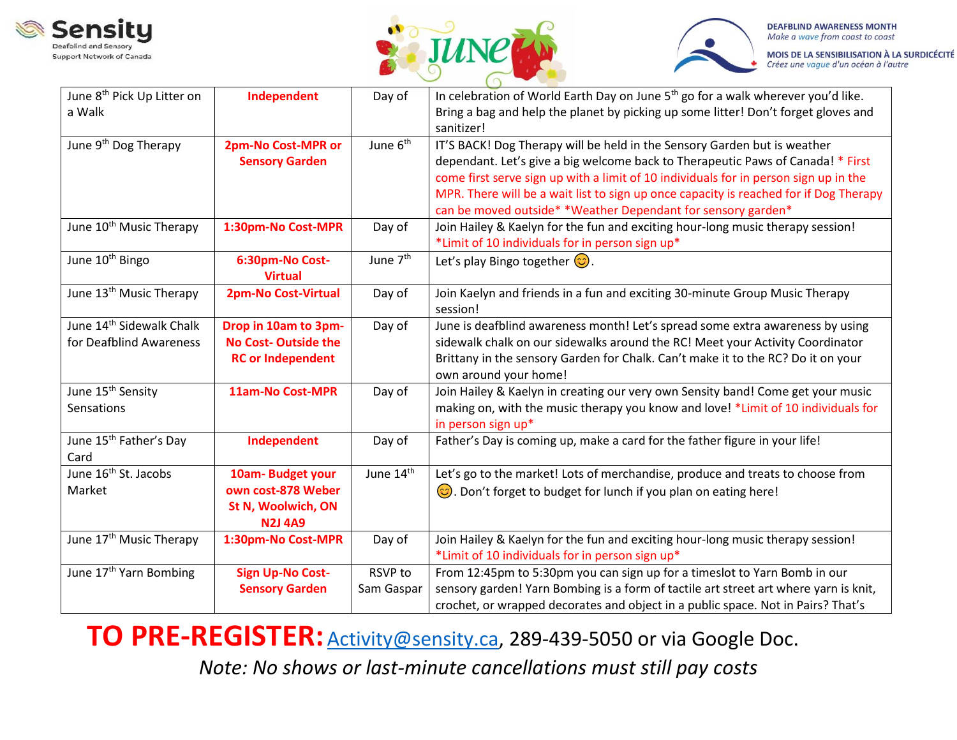





MOIS DE LA SENSIBILISATION À LA SURDICÉCITÉ Créez une vague d'un océan à l'autre

| June 8 <sup>th</sup> Pick Up Litter on | Independent                | Day of               | In celebration of World Earth Day on June 5 <sup>th</sup> go for a walk wherever you'd like. |
|----------------------------------------|----------------------------|----------------------|----------------------------------------------------------------------------------------------|
| a Walk                                 |                            |                      | Bring a bag and help the planet by picking up some litter! Don't forget gloves and           |
|                                        |                            |                      | sanitizer!                                                                                   |
| June 9 <sup>th</sup> Dog Therapy       | 2pm-No Cost-MPR or         | June 6 <sup>th</sup> | IT'S BACK! Dog Therapy will be held in the Sensory Garden but is weather                     |
|                                        | <b>Sensory Garden</b>      |                      | dependant. Let's give a big welcome back to Therapeutic Paws of Canada! * First              |
|                                        |                            |                      | come first serve sign up with a limit of 10 individuals for in person sign up in the         |
|                                        |                            |                      | MPR. There will be a wait list to sign up once capacity is reached for if Dog Therapy        |
|                                        |                            |                      | can be moved outside* *Weather Dependant for sensory garden*                                 |
| June 10 <sup>th</sup> Music Therapy    | 1:30pm-No Cost-MPR         | Day of               | Join Hailey & Kaelyn for the fun and exciting hour-long music therapy session!               |
|                                        |                            |                      | *Limit of 10 individuals for in person sign up*                                              |
| June 10 <sup>th</sup> Bingo            | 6:30pm-No Cost-            | June 7 <sup>th</sup> | Let's play Bingo together $\odot$ .                                                          |
|                                        | <b>Virtual</b>             |                      |                                                                                              |
| June 13 <sup>th</sup> Music Therapy    | <b>2pm-No Cost-Virtual</b> | Day of               | Join Kaelyn and friends in a fun and exciting 30-minute Group Music Therapy                  |
|                                        |                            |                      | session!                                                                                     |
| June 14 <sup>th</sup> Sidewalk Chalk   | Drop in 10am to 3pm-       | Day of               | June is deafblind awareness month! Let's spread some extra awareness by using                |
| for Deafblind Awareness                | <b>No Cost-Outside the</b> |                      | sidewalk chalk on our sidewalks around the RC! Meet your Activity Coordinator                |
|                                        | <b>RC or Independent</b>   |                      | Brittany in the sensory Garden for Chalk. Can't make it to the RC? Do it on your             |
|                                        |                            |                      | own around your home!                                                                        |
| June 15 <sup>th</sup> Sensity          | 11am-No Cost-MPR           | Day of               | Join Hailey & Kaelyn in creating our very own Sensity band! Come get your music              |
| Sensations                             |                            |                      | making on, with the music therapy you know and love! *Limit of 10 individuals for            |
|                                        |                            |                      | in person sign up*                                                                           |
| June 15 <sup>th</sup> Father's Day     | Independent                | Day of               | Father's Day is coming up, make a card for the father figure in your life!                   |
| Card                                   |                            |                      |                                                                                              |
| June 16 <sup>th</sup> St. Jacobs       | 10am-Budget your           | June 14th            | Let's go to the market! Lots of merchandise, produce and treats to choose from               |
| Market                                 | own cost-878 Weber         |                      | $\odot$ . Don't forget to budget for lunch if you plan on eating here!                       |
|                                        | St N, Woolwich, ON         |                      |                                                                                              |
|                                        | <b>N2J 4A9</b>             |                      |                                                                                              |
| June 17 <sup>th</sup> Music Therapy    | 1:30pm-No Cost-MPR         | Day of               | Join Hailey & Kaelyn for the fun and exciting hour-long music therapy session!               |
|                                        |                            |                      | *Limit of 10 individuals for in person sign up*                                              |
| June 17 <sup>th</sup> Yarn Bombing     | <b>Sign Up-No Cost-</b>    | RSVP to              | From 12:45pm to 5:30pm you can sign up for a timeslot to Yarn Bomb in our                    |
|                                        | <b>Sensory Garden</b>      | Sam Gaspar           | sensory garden! Yarn Bombing is a form of tactile art street art where yarn is knit,         |
|                                        |                            |                      | crochet, or wrapped decorates and object in a public space. Not in Pairs? That's             |

TO PRE-REGISTER: **Activity@sensity.ca**, 289-439-5050 or via Google Doc.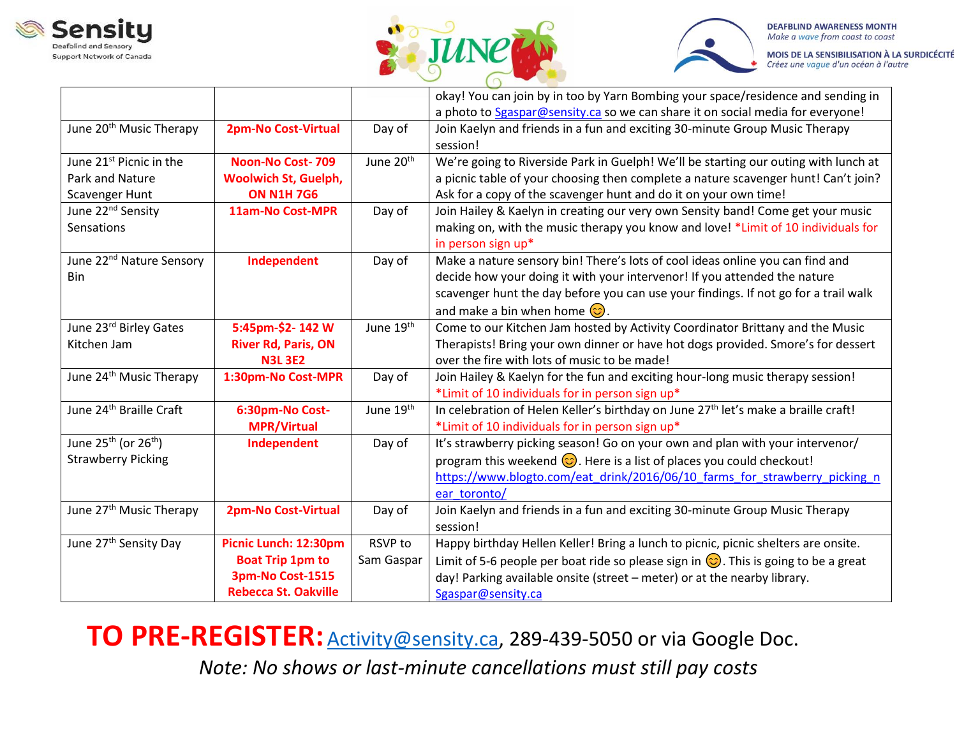





MOIS DE LA SENSIBILISATION À LA SURDICÉCITÉ Créez une vague d'un océan à l'autre

|                                      |                             |                       | okay! You can join by in too by Yarn Bombing your space/residence and sending in                |
|--------------------------------------|-----------------------------|-----------------------|-------------------------------------------------------------------------------------------------|
|                                      |                             |                       | a photo to Sgaspar@sensity.ca so we can share it on social media for everyone!                  |
| June 20 <sup>th</sup> Music Therapy  | 2pm-No Cost-Virtual         | Day of                | Join Kaelyn and friends in a fun and exciting 30-minute Group Music Therapy                     |
|                                      |                             |                       | session!                                                                                        |
| June 21 <sup>st</sup> Picnic in the  | <b>Noon-No Cost-709</b>     | June 20 <sup>th</sup> | We're going to Riverside Park in Guelph! We'll be starting our outing with lunch at             |
| <b>Park and Nature</b>               | <b>Woolwich St, Guelph,</b> |                       | a picnic table of your choosing then complete a nature scavenger hunt! Can't join?              |
| Scavenger Hunt                       | <b>ON N1H 7G6</b>           |                       | Ask for a copy of the scavenger hunt and do it on your own time!                                |
| June 22 <sup>nd</sup> Sensity        | <b>11am-No Cost-MPR</b>     | Day of                | Join Hailey & Kaelyn in creating our very own Sensity band! Come get your music                 |
| Sensations                           |                             |                       | making on, with the music therapy you know and love! *Limit of 10 individuals for               |
|                                      |                             |                       | in person sign up*                                                                              |
| June 22 <sup>nd</sup> Nature Sensory | Independent                 | Day of                | Make a nature sensory bin! There's lots of cool ideas online you can find and                   |
| <b>Bin</b>                           |                             |                       | decide how your doing it with your intervenor! If you attended the nature                       |
|                                      |                             |                       | scavenger hunt the day before you can use your findings. If not go for a trail walk             |
|                                      |                             |                       | and make a bin when home $\circled{c}$ .                                                        |
| June 23rd Birley Gates               | 5:45pm-\$2-142W             | June 19 <sup>th</sup> | Come to our Kitchen Jam hosted by Activity Coordinator Brittany and the Music                   |
| Kitchen Jam                          | <b>River Rd, Paris, ON</b>  |                       | Therapists! Bring your own dinner or have hot dogs provided. Smore's for dessert                |
|                                      | <b>N3L 3E2</b>              |                       | over the fire with lots of music to be made!                                                    |
| June 24 <sup>th</sup> Music Therapy  | 1:30pm-No Cost-MPR          | Day of                | Join Hailey & Kaelyn for the fun and exciting hour-long music therapy session!                  |
|                                      |                             |                       | *Limit of 10 individuals for in person sign up*                                                 |
| June 24 <sup>th</sup> Braille Craft  | 6:30pm-No Cost-             | June 19th             | In celebration of Helen Keller's birthday on June 27 <sup>th</sup> let's make a braille craft!  |
|                                      | <b>MPR/Virtual</b>          |                       | *Limit of 10 individuals for in person sign up*                                                 |
| June $25^{th}$ (or $26^{th}$ )       | Independent                 | Day of                | It's strawberry picking season! Go on your own and plan with your intervenor/                   |
| <b>Strawberry Picking</b>            |                             |                       | program this weekend $\odot$ . Here is a list of places you could checkout!                     |
|                                      |                             |                       | https://www.blogto.com/eat drink/2016/06/10 farms for strawberry picking n                      |
|                                      |                             |                       | ear toronto/                                                                                    |
| June 27 <sup>th</sup> Music Therapy  | 2pm-No Cost-Virtual         | Day of                | Join Kaelyn and friends in a fun and exciting 30-minute Group Music Therapy                     |
|                                      |                             |                       | session!                                                                                        |
| June 27 <sup>th</sup> Sensity Day    | Picnic Lunch: 12:30pm       | RSVP to               | Happy birthday Hellen Keller! Bring a lunch to picnic, picnic shelters are onsite.              |
|                                      | <b>Boat Trip 1pm to</b>     | Sam Gaspar            | Limit of 5-6 people per boat ride so please sign in $\circled{c}$ . This is going to be a great |
|                                      | 3pm-No Cost-1515            |                       | day! Parking available onsite (street - meter) or at the nearby library.                        |
|                                      | <b>Rebecca St. Oakville</b> |                       | Sgaspar@sensity.ca                                                                              |

TO PRE-REGISTER: **Activity@sensity.ca**, 289-439-5050 or via Google Doc.